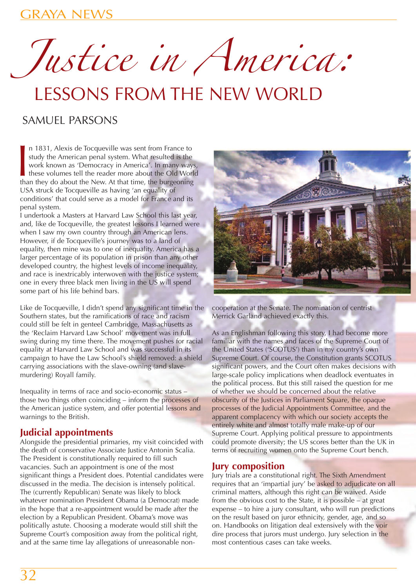Justice in America:

# LESSONS FROM THE NEW WORLD

# SAMUEL PARSONS

n 1831, Alexis de Tocqueville was sent from France to study the American penal system. What resulted is the work known as 'Democracy in America'. In many way these volumes tell the reader more about the Old Wordhan they do n 1831, Alexis de Tocqueville was sent from France to study the American penal system. What resulted is the work known as 'Democracy in America'. In many ways, these volumes tell the reader more about the Old World USA struck de Tocqueville as having 'an equality of conditions' that could serve as a model for France and its penal system.

I undertook a Masters at Harvard Law School this last year, and, like de Tocqueville, the greatest lessons I learned were when I saw my own country through an American lens. However, if de Tocqueville's journey was to a land of equality, then mine was to one of inequality. America has a larger percentage of its population in prison than any other developed country, the highest levels of income inequality, and race is inextricably interwoven with the justice system; one in every three black men living in the US will spend some part of his life behind bars.

Like de Tocqueville, I didn't spend any significant time in the Southern states, but the ramifications of race and racism could still be felt in genteel Cambridge, Massachusetts as the 'Reclaim Harvard Law School' movement was in full swing during my time there. The movement pushes for racial equality at Harvard Law School and was successful in its campaign to have the Law School's shield removed: a shield carrying associations with the slave-owning (and slavemurdering) Royall family.

Inequality in terms of race and socio-economic status – those two things often coinciding – inform the processes of the American justice system, and offer potential lessons and warnings to the British.

## **Judicial appointments**

Alongside the presidential primaries, my visit coincided with the death of conservative Associate Justice Antonin Scalia. The President is constitutionally required to fill such vacancies. Such an appointment is one of the most significant things a President does. Potential candidates were discussed in the media. The decision is intensely political. The (currently Republican) Senate was likely to block whatever nomination President Obama (a Democrat) made in the hope that a re-appointment would be made after the election by a Republican President. Obama's move was politically astute. Choosing a moderate would still shift the Supreme Court's composition away from the political right, and at the same time lay allegations of unreasonable non-



cooperation at the Senate. The nomination of centrist Merrick Garland achieved exactly this.

As an Englishman following this story, I had become more familiar with the names and faces of the Supreme Court of the United States ('SCOTUS') than in my country's own Supreme Court. Of course, the Constitution grants SCOTUS significant powers, and the Court often makes decisions with large-scale policy implications when deadlock eventuates in the political process. But this still raised the question for me of whether we should be concerned about the relative obscurity of the Justices in Parliament Square, the opaque processes of the Judicial Appointments Committee, and the apparent complacency with which our society accepts the entirely white and almost totally male make-up of our Supreme Court. Applying political pressure to appointments could promote diversity; the US scores better than the UK in terms of recruiting women onto the Supreme Court bench.

#### **Jury composition**

Jury trials are a constitutional right. The Sixth Amendment requires that an 'impartial jury' be asked to adjudicate on all criminal matters, although this right can be waived. Aside from the obvious cost to the State, it is possible – at great expense – to hire a jury consultant, who will run predictions on the result based on juror ethnicity, gender, age, and so on. Handbooks on litigation deal extensively with the voir dire process that jurors must undergo. Jury selection in the most contentious cases can take weeks.